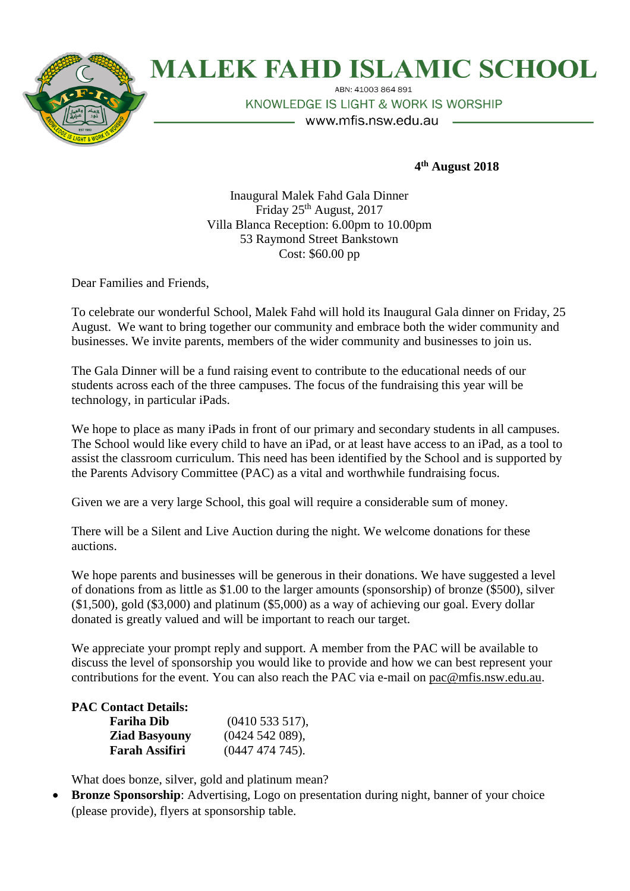

## **MALEK FAHD ISLAMIC SCHOOL**

ABN: 41003 864 891 KNOWLEDGE IS LIGHT & WORK IS WORSHIP

– www.mfis.nsw.edu.au

**4 th August 2018**

Inaugural Malek Fahd Gala Dinner Friday 25<sup>th</sup> August, 2017 Villa Blanca Reception: 6.00pm to 10.00pm 53 Raymond Street Bankstown Cost: \$60.00 pp

Dear Families and Friends,

To celebrate our wonderful School, Malek Fahd will hold its Inaugural Gala dinner on Friday, 25 August. We want to bring together our community and embrace both the wider community and businesses. We invite parents, members of the wider community and businesses to join us.

The Gala Dinner will be a fund raising event to contribute to the educational needs of our students across each of the three campuses. The focus of the fundraising this year will be technology, in particular iPads.

We hope to place as many iPads in front of our primary and secondary students in all campuses. The School would like every child to have an iPad, or at least have access to an iPad, as a tool to assist the classroom curriculum. This need has been identified by the School and is supported by the Parents Advisory Committee (PAC) as a vital and worthwhile fundraising focus.

Given we are a very large School, this goal will require a considerable sum of money.

There will be a Silent and Live Auction during the night. We welcome donations for these auctions.

We hope parents and businesses will be generous in their donations. We have suggested a level of donations from as little as \$1.00 to the larger amounts (sponsorship) of bronze (\$500), silver (\$1,500), gold (\$3,000) and platinum (\$5,000) as a way of achieving our goal. Every dollar donated is greatly valued and will be important to reach our target.

We appreciate your prompt reply and support. A member from the PAC will be available to discuss the level of sponsorship you would like to provide and how we can best represent your contributions for the event. You can also reach the PAC via e-mail on [pac@mfis.nsw.edu.au.](mailto:pac@mfis.nsw.edu.au)

## **PAC Contact Details:**

| <b>Fariha Dib</b>     | (0410533517),    |
|-----------------------|------------------|
| <b>Ziad Basyouny</b>  | (0424542089),    |
| <b>Farah Assifiri</b> | $(0447474745)$ . |

What does bonze, silver, gold and platinum mean?

 **Bronze Sponsorship**: Advertising, Logo on presentation during night, banner of your choice (please provide), flyers at sponsorship table.